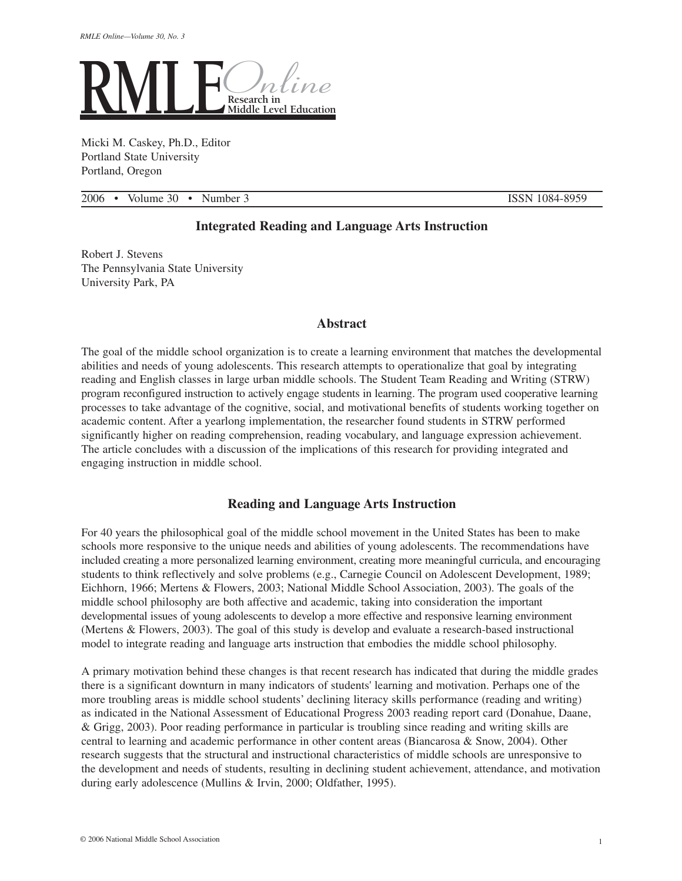

Micki M. Caskey, Ph.D., Editor Portland State University Portland, Oregon

2006 • Volume 30 • Number 3 ISSN 1084-8959

# **Integrated Reading and Language Arts Instruction**

Robert J. Stevens The Pennsylvania State University University Park, PA

## **Abstract**

The goal of the middle school organization is to create a learning environment that matches the developmental abilities and needs of young adolescents. This research attempts to operationalize that goal by integrating reading and English classes in large urban middle schools. The Student Team Reading and Writing (STRW) program reconfigured instruction to actively engage students in learning. The program used cooperative learning processes to take advantage of the cognitive, social, and motivational benefits of students working together on academic content. After a yearlong implementation, the researcher found students in STRW performed significantly higher on reading comprehension, reading vocabulary, and language expression achievement. The article concludes with a discussion of the implications of this research for providing integrated and engaging instruction in middle school.

# **Reading and Language Arts Instruction**

For 40 years the philosophical goal of the middle school movement in the United States has been to make schools more responsive to the unique needs and abilities of young adolescents. The recommendations have included creating a more personalized learning environment, creating more meaningful curricula, and encouraging students to think reflectively and solve problems (e.g., Carnegie Council on Adolescent Development, 1989; Eichhorn, 1966; Mertens & Flowers, 2003; National Middle School Association, 2003). The goals of the middle school philosophy are both affective and academic, taking into consideration the important developmental issues of young adolescents to develop a more effective and responsive learning environment (Mertens & Flowers, 2003). The goal of this study is develop and evaluate a research-based instructional model to integrate reading and language arts instruction that embodies the middle school philosophy.

A primary motivation behind these changes is that recent research has indicated that during the middle grades there is a significant downturn in many indicators of students' learning and motivation. Perhaps one of the more troubling areas is middle school students' declining literacy skills performance (reading and writing) as indicated in the National Assessment of Educational Progress 2003 reading report card (Donahue, Daane, & Grigg, 2003). Poor reading performance in particular is troubling since reading and writing skills are central to learning and academic performance in other content areas (Biancarosa & Snow, 2004). Other research suggests that the structural and instructional characteristics of middle schools are unresponsive to the development and needs of students, resulting in declining student achievement, attendance, and motivation during early adolescence (Mullins & Irvin, 2000; Oldfather, 1995).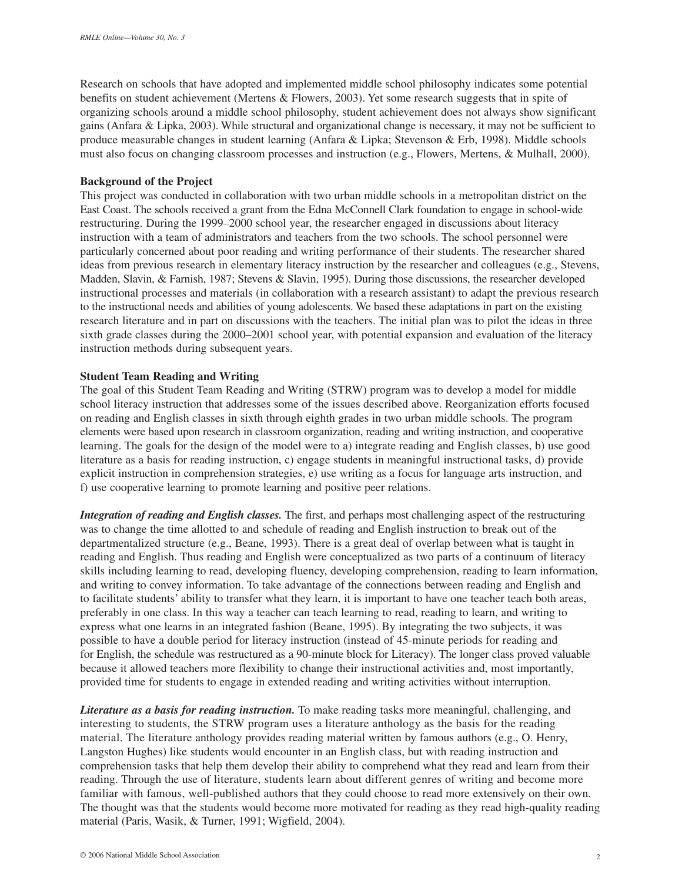Research on schools that have adopted and implemented middle school philosophy indicates some potential benefits on student achievement (Mertens & Flowers, 2003). Yet some research suggests that in spite of organizing schools around a middle school philosophy, student achievement does not always show significant gains (Anfara & Lipka, 2003). While structural and organizational change is necessary, it may not be sufficient to produce measurable changes in student learning (Anfara & Lipka; Stevenson & Erb, 1998). Middle schools must also focus on changing classroom processes and instruction (e.g., Flowers, Mertens, & Mulhall, 2000).

#### **Background of the Project**

This project was conducted in collaboration with two urban middle schools in a metropolitan district on the East Coast. The schools received a grant from the Edna McConnell Clark foundation to engage in school-wide restructuring. During the 1999–2000 school year, the researcher engaged in discussions about literacy instruction with a team of administrators and teachers from the two schools. The school personnel were particularly concerned about poor reading and writing performance of their students. The researcher shared ideas from previous research in elementary literacy instruction by the researcher and colleagues (e.g., Stevens, Madden, Slavin, & Farnish, 1987; Stevens & Slavin, 1995). During those discussions, the researcher developed instructional processes and materials (in collaboration with a research assistant) to adapt the previous research to the instructional needs and abilities of young adolescents. We based these adaptations in part on the existing research literature and in part on discussions with the teachers. The initial plan was to pilot the ideas in three sixth grade classes during the 2000–2001 school year, with potential expansion and evaluation of the literacy instruction methods during subsequent years.

### **Student Team Reading and Writing**

The goal of this Student Team Reading and Writing (STRW) program was to develop a model for middle school literacy instruction that addresses some of the issues described above. Reorganization efforts focused on reading and English classes in sixth through eighth grades in two urban middle schools. The program elements were based upon research in classroom organization, reading and writing instruction, and cooperative learning. The goals for the design of the model were to a) integrate reading and English classes, b) use good literature as a basis for reading instruction, c) engage students in meaningful instructional tasks, d) provide explicit instruction in comprehension strategies, e) use writing as a focus for language arts instruction, and f) use cooperative learning to promote learning and positive peer relations.

*Integration of reading and English classes.* The first, and perhaps most challenging aspect of the restructuring was to change the time allotted to and schedule of reading and English instruction to break out of the departmentalized structure (e.g., Beane, 1993). There is a great deal of overlap between what is taught in reading and English. Thus reading and English were conceptualized as two parts of a continuum of literacy skills including learning to read, developing fluency, developing comprehension, reading to learn information, and writing to convey information. To take advantage of the connections between reading and English and to facilitate students' ability to transfer what they learn, it is important to have one teacher teach both areas, preferably in one class. In this way a teacher can teach learning to read, reading to learn, and writing to express what one learns in an integrated fashion (Beane, 1995). By integrating the two subjects, it was possible to have a double period for literacy instruction (instead of 45-minute periods for reading and for English, the schedule was restructured as a 90-minute block for Literacy). The longer class proved valuable because it allowed teachers more flexibility to change their instructional activities and, most importantly, provided time for students to engage in extended reading and writing activities without interruption.

*Literature as a basis for reading instruction.* To make reading tasks more meaningful, challenging, and interesting to students, the STRW program uses a literature anthology as the basis for the reading material. The literature anthology provides reading material written by famous authors (e.g., O. Henry, Langston Hughes) like students would encounter in an English class, but with reading instruction and comprehension tasks that help them develop their ability to comprehend what they read and learn from their reading. Through the use of literature, students learn about different genres of writing and become more familiar with famous, well-published authors that they could choose to read more extensively on their own. The thought was that the students would become more motivated for reading as they read high-quality reading material (Paris, Wasik, & Turner, 1991; Wigfield, 2004).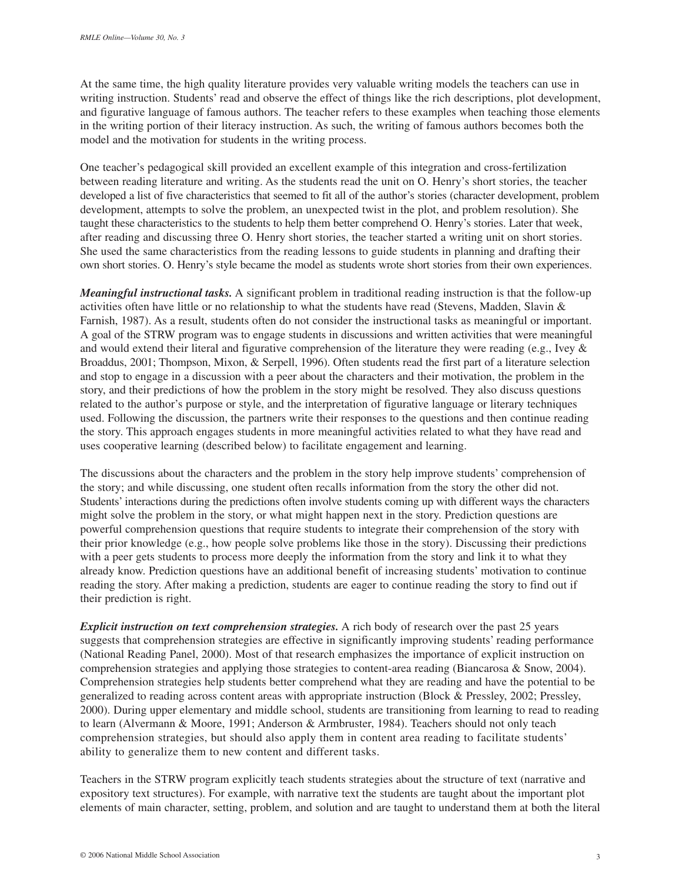At the same time, the high quality literature provides very valuable writing models the teachers can use in writing instruction. Students' read and observe the effect of things like the rich descriptions, plot development, and figurative language of famous authors. The teacher refers to these examples when teaching those elements in the writing portion of their literacy instruction. As such, the writing of famous authors becomes both the model and the motivation for students in the writing process.

One teacher's pedagogical skill provided an excellent example of this integration and cross-fertilization between reading literature and writing. As the students read the unit on O. Henry's short stories, the teacher developed a list of five characteristics that seemed to fit all of the author's stories (character development, problem development, attempts to solve the problem, an unexpected twist in the plot, and problem resolution). She taught these characteristics to the students to help them better comprehend O. Henry's stories. Later that week, after reading and discussing three O. Henry short stories, the teacher started a writing unit on short stories. She used the same characteristics from the reading lessons to guide students in planning and drafting their own short stories. O. Henry's style became the model as students wrote short stories from their own experiences.

*Meaningful instructional tasks.* A significant problem in traditional reading instruction is that the follow-up activities often have little or no relationship to what the students have read (Stevens, Madden, Slavin & Farnish, 1987). As a result, students often do not consider the instructional tasks as meaningful or important. A goal of the STRW program was to engage students in discussions and written activities that were meaningful and would extend their literal and figurative comprehension of the literature they were reading (e.g., Ivey & Broaddus, 2001; Thompson, Mixon, & Serpell, 1996). Often students read the first part of a literature selection and stop to engage in a discussion with a peer about the characters and their motivation, the problem in the story, and their predictions of how the problem in the story might be resolved. They also discuss questions related to the author's purpose or style, and the interpretation of figurative language or literary techniques used. Following the discussion, the partners write their responses to the questions and then continue reading the story. This approach engages students in more meaningful activities related to what they have read and uses cooperative learning (described below) to facilitate engagement and learning.

The discussions about the characters and the problem in the story help improve students' comprehension of the story; and while discussing, one student often recalls information from the story the other did not. Students' interactions during the predictions often involve students coming up with different ways the characters might solve the problem in the story, or what might happen next in the story. Prediction questions are powerful comprehension questions that require students to integrate their comprehension of the story with their prior knowledge (e.g., how people solve problems like those in the story). Discussing their predictions with a peer gets students to process more deeply the information from the story and link it to what they already know. Prediction questions have an additional benefit of increasing students' motivation to continue reading the story. After making a prediction, students are eager to continue reading the story to find out if their prediction is right.

*Explicit instruction on text comprehension strategies.* A rich body of research over the past 25 years suggests that comprehension strategies are effective in significantly improving students' reading performance (National Reading Panel, 2000). Most of that research emphasizes the importance of explicit instruction on comprehension strategies and applying those strategies to content-area reading (Biancarosa & Snow, 2004). Comprehension strategies help students better comprehend what they are reading and have the potential to be generalized to reading across content areas with appropriate instruction (Block & Pressley, 2002; Pressley, 2000). During upper elementary and middle school, students are transitioning from learning to read to reading to learn (Alvermann & Moore, 1991; Anderson & Armbruster, 1984). Teachers should not only teach comprehension strategies, but should also apply them in content area reading to facilitate students' ability to generalize them to new content and different tasks.

Teachers in the STRW program explicitly teach students strategies about the structure of text (narrative and expository text structures). For example, with narrative text the students are taught about the important plot elements of main character, setting, problem, and solution and are taught to understand them at both the literal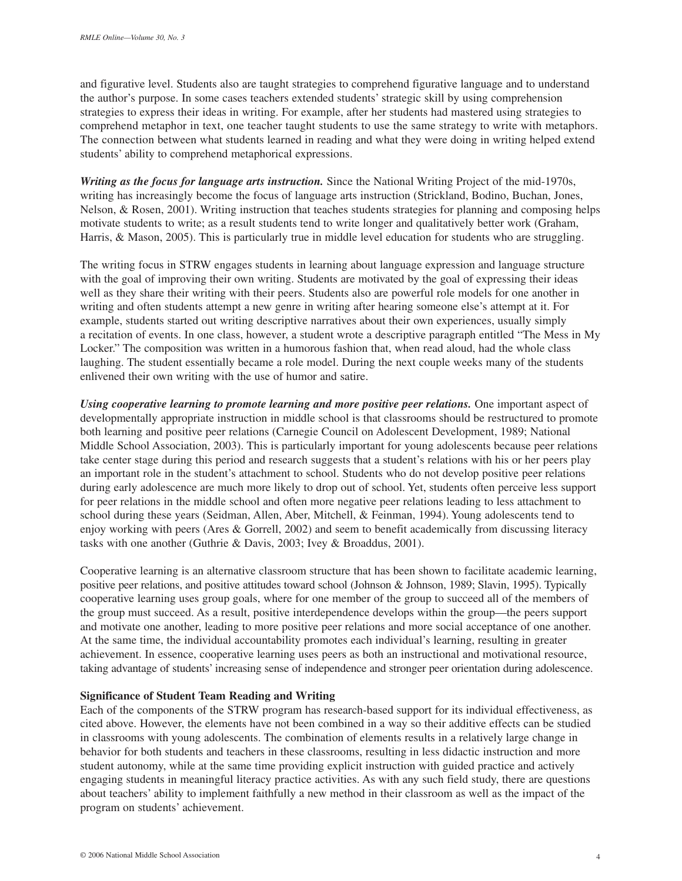and figurative level. Students also are taught strategies to comprehend figurative language and to understand the author's purpose. In some cases teachers extended students' strategic skill by using comprehension strategies to express their ideas in writing. For example, after her students had mastered using strategies to comprehend metaphor in text, one teacher taught students to use the same strategy to write with metaphors. The connection between what students learned in reading and what they were doing in writing helped extend students' ability to comprehend metaphorical expressions.

*Writing as the focus for language arts instruction.* Since the National Writing Project of the mid-1970s, writing has increasingly become the focus of language arts instruction (Strickland, Bodino, Buchan, Jones, Nelson, & Rosen, 2001). Writing instruction that teaches students strategies for planning and composing helps motivate students to write; as a result students tend to write longer and qualitatively better work (Graham, Harris, & Mason, 2005). This is particularly true in middle level education for students who are struggling.

The writing focus in STRW engages students in learning about language expression and language structure with the goal of improving their own writing. Students are motivated by the goal of expressing their ideas well as they share their writing with their peers. Students also are powerful role models for one another in writing and often students attempt a new genre in writing after hearing someone else's attempt at it. For example, students started out writing descriptive narratives about their own experiences, usually simply a recitation of events. In one class, however, a student wrote a descriptive paragraph entitled "The Mess in My Locker." The composition was written in a humorous fashion that, when read aloud, had the whole class laughing. The student essentially became a role model. During the next couple weeks many of the students enlivened their own writing with the use of humor and satire.

*Using cooperative learning to promote learning and more positive peer relations.* One important aspect of developmentally appropriate instruction in middle school is that classrooms should be restructured to promote both learning and positive peer relations (Carnegie Council on Adolescent Development, 1989; National Middle School Association, 2003). This is particularly important for young adolescents because peer relations take center stage during this period and research suggests that a student's relations with his or her peers play an important role in the student's attachment to school. Students who do not develop positive peer relations during early adolescence are much more likely to drop out of school. Yet, students often perceive less support for peer relations in the middle school and often more negative peer relations leading to less attachment to school during these years (Seidman, Allen, Aber, Mitchell, & Feinman, 1994). Young adolescents tend to enjoy working with peers (Ares & Gorrell, 2002) and seem to benefit academically from discussing literacy tasks with one another (Guthrie & Davis, 2003; Ivey & Broaddus, 2001).

Cooperative learning is an alternative classroom structure that has been shown to facilitate academic learning, positive peer relations, and positive attitudes toward school (Johnson & Johnson, 1989; Slavin, 1995). Typically cooperative learning uses group goals, where for one member of the group to succeed all of the members of the group must succeed. As a result, positive interdependence develops within the group—the peers support and motivate one another, leading to more positive peer relations and more social acceptance of one another. At the same time, the individual accountability promotes each individual's learning, resulting in greater achievement. In essence, cooperative learning uses peers as both an instructional and motivational resource, taking advantage of students' increasing sense of independence and stronger peer orientation during adolescence.

#### **Significance of Student Team Reading and Writing**

Each of the components of the STRW program has research-based support for its individual effectiveness, as cited above. However, the elements have not been combined in a way so their additive effects can be studied in classrooms with young adolescents. The combination of elements results in a relatively large change in behavior for both students and teachers in these classrooms, resulting in less didactic instruction and more student autonomy, while at the same time providing explicit instruction with guided practice and actively engaging students in meaningful literacy practice activities. As with any such field study, there are questions about teachers' ability to implement faithfully a new method in their classroom as well as the impact of the program on students' achievement.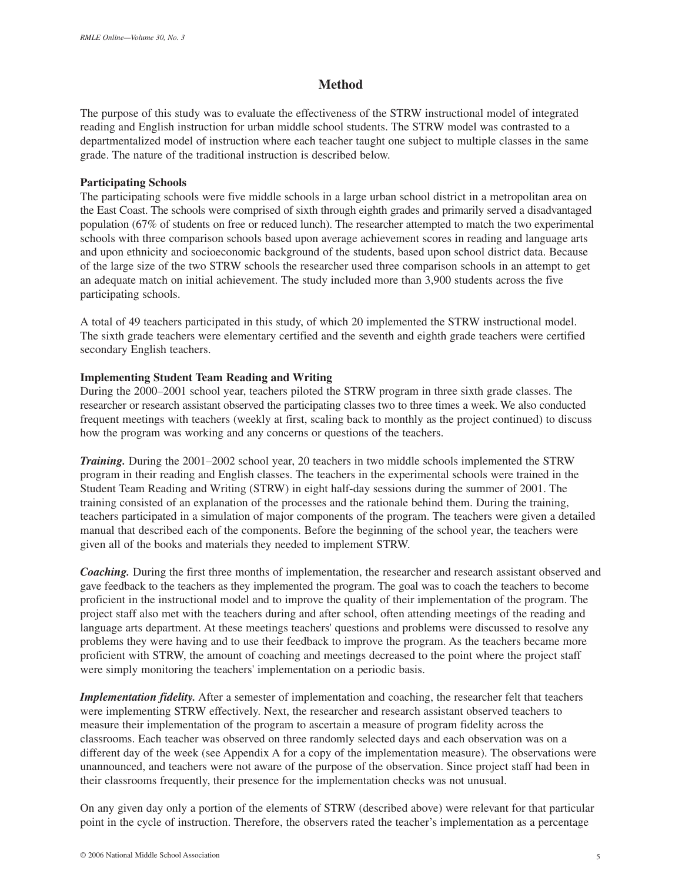# **Method**

The purpose of this study was to evaluate the effectiveness of the STRW instructional model of integrated reading and English instruction for urban middle school students. The STRW model was contrasted to a departmentalized model of instruction where each teacher taught one subject to multiple classes in the same grade. The nature of the traditional instruction is described below.

### **Participating Schools**

The participating schools were five middle schools in a large urban school district in a metropolitan area on the East Coast. The schools were comprised of sixth through eighth grades and primarily served a disadvantaged population (67% of students on free or reduced lunch). The researcher attempted to match the two experimental schools with three comparison schools based upon average achievement scores in reading and language arts and upon ethnicity and socioeconomic background of the students, based upon school district data. Because of the large size of the two STRW schools the researcher used three comparison schools in an attempt to get an adequate match on initial achievement. The study included more than 3,900 students across the five participating schools.

A total of 49 teachers participated in this study, of which 20 implemented the STRW instructional model. The sixth grade teachers were elementary certified and the seventh and eighth grade teachers were certified secondary English teachers.

### **Implementing Student Team Reading and Writing**

During the 2000–2001 school year, teachers piloted the STRW program in three sixth grade classes. The researcher or research assistant observed the participating classes two to three times a week. We also conducted frequent meetings with teachers (weekly at first, scaling back to monthly as the project continued) to discuss how the program was working and any concerns or questions of the teachers.

*Training.* During the 2001–2002 school year, 20 teachers in two middle schools implemented the STRW program in their reading and English classes. The teachers in the experimental schools were trained in the Student Team Reading and Writing (STRW) in eight half-day sessions during the summer of 2001. The training consisted of an explanation of the processes and the rationale behind them. During the training, teachers participated in a simulation of major components of the program. The teachers were given a detailed manual that described each of the components. Before the beginning of the school year, the teachers were given all of the books and materials they needed to implement STRW.

*Coaching.* During the first three months of implementation, the researcher and research assistant observed and gave feedback to the teachers as they implemented the program. The goal was to coach the teachers to become proficient in the instructional model and to improve the quality of their implementation of the program. The project staff also met with the teachers during and after school, often attending meetings of the reading and language arts department. At these meetings teachers' questions and problems were discussed to resolve any problems they were having and to use their feedback to improve the program. As the teachers became more proficient with STRW, the amount of coaching and meetings decreased to the point where the project staff were simply monitoring the teachers' implementation on a periodic basis.

*Implementation fidelity.* After a semester of implementation and coaching, the researcher felt that teachers were implementing STRW effectively. Next, the researcher and research assistant observed teachers to measure their implementation of the program to ascertain a measure of program fidelity across the classrooms. Each teacher was observed on three randomly selected days and each observation was on a different day of the week (see Appendix A for a copy of the implementation measure). The observations were unannounced, and teachers were not aware of the purpose of the observation. Since project staff had been in their classrooms frequently, their presence for the implementation checks was not unusual.

On any given day only a portion of the elements of STRW (described above) were relevant for that particular point in the cycle of instruction. Therefore, the observers rated the teacher's implementation as a percentage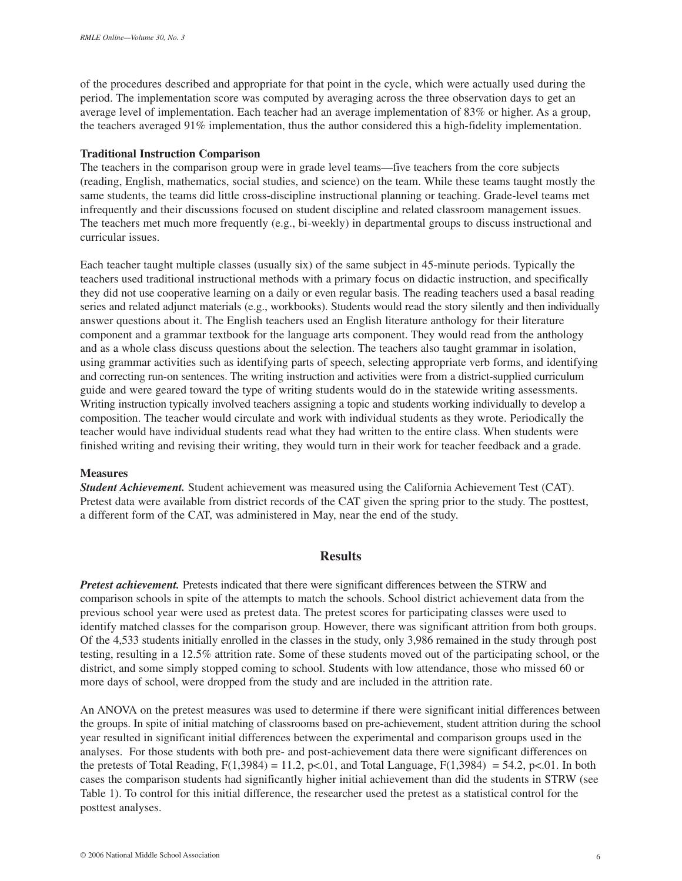of the procedures described and appropriate for that point in the cycle, which were actually used during the period. The implementation score was computed by averaging across the three observation days to get an average level of implementation. Each teacher had an average implementation of 83% or higher. As a group, the teachers averaged 91% implementation, thus the author considered this a high-fidelity implementation.

#### **Traditional Instruction Comparison**

The teachers in the comparison group were in grade level teams—five teachers from the core subjects (reading, English, mathematics, social studies, and science) on the team. While these teams taught mostly the same students, the teams did little cross-discipline instructional planning or teaching. Grade-level teams met infrequently and their discussions focused on student discipline and related classroom management issues. The teachers met much more frequently (e.g., bi-weekly) in departmental groups to discuss instructional and curricular issues.

Each teacher taught multiple classes (usually six) of the same subject in 45-minute periods. Typically the teachers used traditional instructional methods with a primary focus on didactic instruction, and specifically they did not use cooperative learning on a daily or even regular basis. The reading teachers used a basal reading series and related adjunct materials (e.g., workbooks). Students would read the story silently and then individually answer questions about it. The English teachers used an English literature anthology for their literature component and a grammar textbook for the language arts component. They would read from the anthology and as a whole class discuss questions about the selection. The teachers also taught grammar in isolation, using grammar activities such as identifying parts of speech, selecting appropriate verb forms, and identifying and correcting run-on sentences. The writing instruction and activities were from a district-supplied curriculum guide and were geared toward the type of writing students would do in the statewide writing assessments. Writing instruction typically involved teachers assigning a topic and students working individually to develop a composition. The teacher would circulate and work with individual students as they wrote. Periodically the teacher would have individual students read what they had written to the entire class. When students were finished writing and revising their writing, they would turn in their work for teacher feedback and a grade.

#### **Measures**

*Student Achievement.* Student achievement was measured using the California Achievement Test (CAT). Pretest data were available from district records of the CAT given the spring prior to the study. The posttest, a different form of the CAT, was administered in May, near the end of the study.

### **Results**

*Pretest achievement.* Pretests indicated that there were significant differences between the STRW and comparison schools in spite of the attempts to match the schools. School district achievement data from the previous school year were used as pretest data. The pretest scores for participating classes were used to identify matched classes for the comparison group. However, there was significant attrition from both groups. Of the 4,533 students initially enrolled in the classes in the study, only 3,986 remained in the study through post testing, resulting in a 12.5% attrition rate. Some of these students moved out of the participating school, or the district, and some simply stopped coming to school. Students with low attendance, those who missed 60 or more days of school, were dropped from the study and are included in the attrition rate.

An ANOVA on the pretest measures was used to determine if there were significant initial differences between the groups. In spite of initial matching of classrooms based on pre-achievement, student attrition during the school year resulted in significant initial differences between the experimental and comparison groups used in the analyses. For those students with both pre- and post-achievement data there were significant differences on the pretests of Total Reading,  $F(1,3984) = 11.2$ ,  $p<.01$ , and Total Language,  $F(1,3984) = 54.2$ ,  $p<.01$ . In both cases the comparison students had significantly higher initial achievement than did the students in STRW (see Table 1). To control for this initial difference, the researcher used the pretest as a statistical control for the posttest analyses.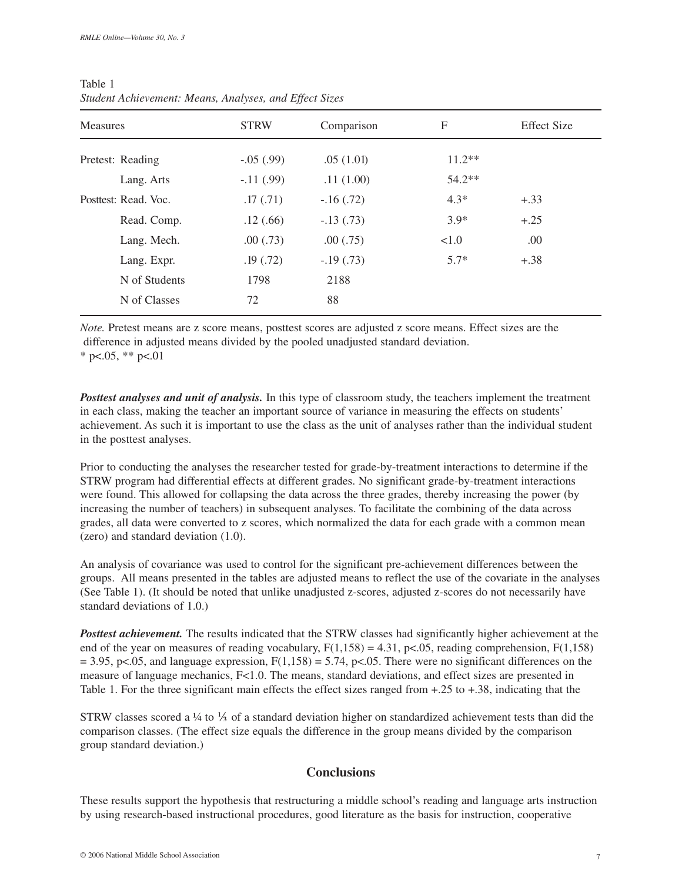| <b>STRW</b> | Comparison  | $\boldsymbol{F}$ | <b>Effect Size</b> |
|-------------|-------------|------------------|--------------------|
| $-.05(.99)$ | .05(1.01)   | $11.2**$         |                    |
| $-.11(.99)$ | .11(1.00)   | $54.2**$         |                    |
| .17(.71)    | $-16(0.72)$ | $4.3*$           | $+.33$             |
| .12(.66)    | $-.13(.73)$ | $3.9*$           | $+.25$             |
| .00(.73)    | .00(.75)    | <1.0             | .00                |
| .19(0.72)   | $-.19(.73)$ | $5.7*$           | $+.38$             |
| 1798        | 2188        |                  |                    |
| 72          | 88          |                  |                    |
|             |             |                  |                    |

Table 1 *Student Achievement: Means, Analyses, and Effect Sizes*

*Note.* Pretest means are z score means, posttest scores are adjusted z score means. Effect sizes are the difference in adjusted means divided by the pooled unadjusted standard deviation.

 $*$  p<.05,  $*$  p<.01

*Posttest analyses and unit of analysis.* In this type of classroom study, the teachers implement the treatment in each class, making the teacher an important source of variance in measuring the effects on students' achievement. As such it is important to use the class as the unit of analyses rather than the individual student in the posttest analyses.

Prior to conducting the analyses the researcher tested for grade-by-treatment interactions to determine if the STRW program had differential effects at different grades. No significant grade-by-treatment interactions were found. This allowed for collapsing the data across the three grades, thereby increasing the power (by increasing the number of teachers) in subsequent analyses. To facilitate the combining of the data across grades, all data were converted to z scores, which normalized the data for each grade with a common mean (zero) and standard deviation (1.0).

An analysis of covariance was used to control for the significant pre-achievement differences between the groups. All means presented in the tables are adjusted means to reflect the use of the covariate in the analyses (See Table 1). (It should be noted that unlike unadjusted z-scores, adjusted z-scores do not necessarily have standard deviations of 1.0.)

*Posttest achievement.* The results indicated that the STRW classes had significantly higher achievement at the end of the year on measures of reading vocabulary,  $F(1,158) = 4.31$ , p<.05, reading comprehension,  $F(1,158)$  $= 3.95$ , p<.05, and language expression, F(1,158) = 5.74, p<.05. There were no significant differences on the measure of language mechanics, F<1.0. The means, standard deviations, and effect sizes are presented in Table 1. For the three significant main effects the effect sizes ranged from +.25 to +.38, indicating that the

STRW classes scored a ¼ to  $\frac{1}{3}$  of a standard deviation higher on standardized achievement tests than did the comparison classes. (The effect size equals the difference in the group means divided by the comparison group standard deviation.)

## **Conclusions**

These results support the hypothesis that restructuring a middle school's reading and language arts instruction by using research-based instructional procedures, good literature as the basis for instruction, cooperative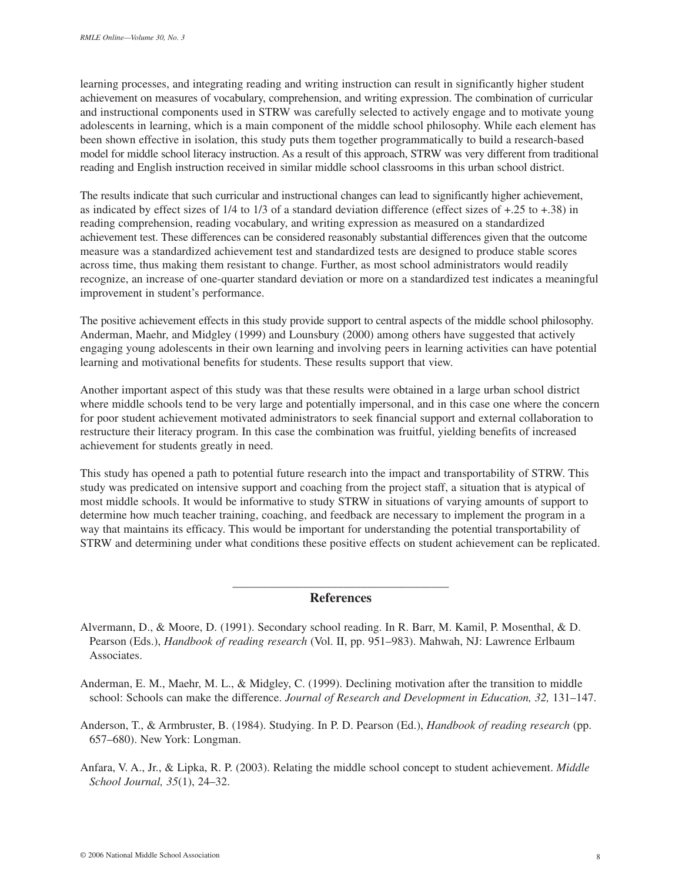learning processes, and integrating reading and writing instruction can result in significantly higher student achievement on measures of vocabulary, comprehension, and writing expression. The combination of curricular and instructional components used in STRW was carefully selected to actively engage and to motivate young adolescents in learning, which is a main component of the middle school philosophy. While each element has been shown effective in isolation, this study puts them together programmatically to build a research-based model for middle school literacy instruction. As a result of this approach, STRW was very different from traditional reading and English instruction received in similar middle school classrooms in this urban school district.

The results indicate that such curricular and instructional changes can lead to significantly higher achievement, as indicated by effect sizes of 1/4 to 1/3 of a standard deviation difference (effect sizes of +.25 to +.38) in reading comprehension, reading vocabulary, and writing expression as measured on a standardized achievement test. These differences can be considered reasonably substantial differences given that the outcome measure was a standardized achievement test and standardized tests are designed to produce stable scores across time, thus making them resistant to change. Further, as most school administrators would readily recognize, an increase of one-quarter standard deviation or more on a standardized test indicates a meaningful improvement in student's performance.

The positive achievement effects in this study provide support to central aspects of the middle school philosophy. Anderman, Maehr, and Midgley (1999) and Lounsbury (2000) among others have suggested that actively engaging young adolescents in their own learning and involving peers in learning activities can have potential learning and motivational benefits for students. These results support that view.

Another important aspect of this study was that these results were obtained in a large urban school district where middle schools tend to be very large and potentially impersonal, and in this case one where the concern for poor student achievement motivated administrators to seek financial support and external collaboration to restructure their literacy program. In this case the combination was fruitful, yielding benefits of increased achievement for students greatly in need.

This study has opened a path to potential future research into the impact and transportability of STRW. This study was predicated on intensive support and coaching from the project staff, a situation that is atypical of most middle schools. It would be informative to study STRW in situations of varying amounts of support to determine how much teacher training, coaching, and feedback are necessary to implement the program in a way that maintains its efficacy. This would be important for understanding the potential transportability of STRW and determining under what conditions these positive effects on student achievement can be replicated.

### \_\_\_\_\_\_\_\_\_\_\_\_\_\_\_\_\_\_\_\_\_\_\_\_\_\_\_\_\_\_\_\_\_\_\_\_\_ **References**

Anderman, E. M., Maehr, M. L., & Midgley, C. (1999). Declining motivation after the transition to middle school: Schools can make the difference. *Journal of Research and Development in Education, 32,* 131–147.

Anderson, T., & Armbruster, B. (1984). Studying. In P. D. Pearson (Ed.), *Handbook of reading research* (pp. 657–680). New York: Longman.

Anfara, V. A., Jr., & Lipka, R. P. (2003). Relating the middle school concept to student achievement. *Middle School Journal, 35*(1), 24–32.

Alvermann, D., & Moore, D. (1991). Secondary school reading. In R. Barr, M. Kamil, P. Mosenthal, & D. Pearson (Eds.), *Handbook of reading research* (Vol. II, pp. 951–983). Mahwah, NJ: Lawrence Erlbaum Associates.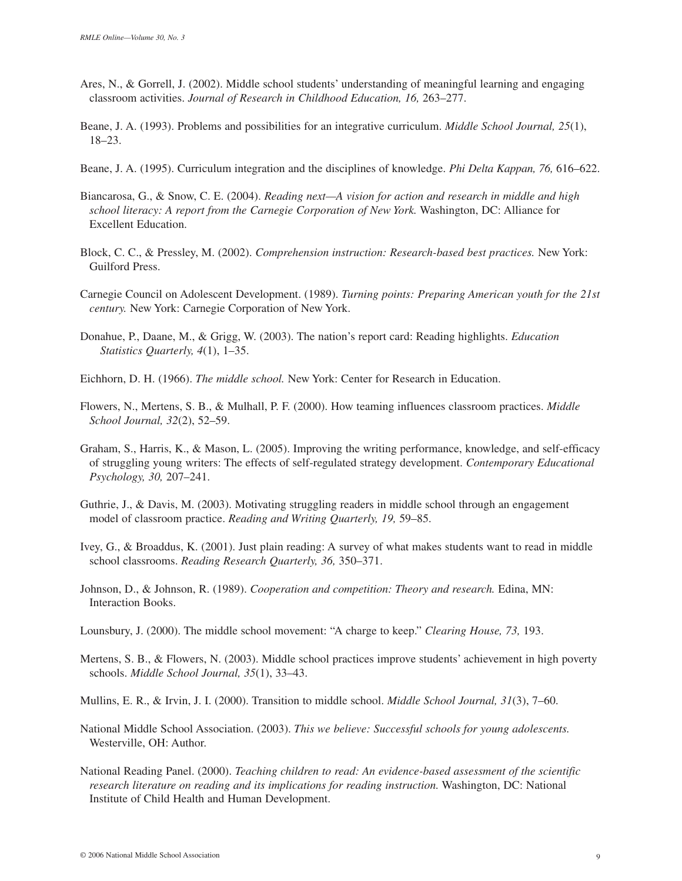- Ares, N., & Gorrell, J. (2002). Middle school students' understanding of meaningful learning and engaging classroom activities. *Journal of Research in Childhood Education, 16,* 263–277.
- Beane, J. A. (1993). Problems and possibilities for an integrative curriculum. *Middle School Journal, 25*(1), 18–23.
- Beane, J. A. (1995). Curriculum integration and the disciplines of knowledge. *Phi Delta Kappan, 76,* 616–622.
- Biancarosa, G., & Snow, C. E. (2004). *Reading next—A vision for action and research in middle and high school literacy: A report from the Carnegie Corporation of New York.* Washington, DC: Alliance for Excellent Education.
- Block, C. C., & Pressley, M. (2002). *Comprehension instruction: Research-based best practices.* New York: Guilford Press.
- Carnegie Council on Adolescent Development. (1989). *Turning points: Preparing American youth for the 21st century.* New York: Carnegie Corporation of New York.
- Donahue, P., Daane, M., & Grigg, W. (2003). The nation's report card: Reading highlights. *Education Statistics Quarterly, 4*(1), 1–35.
- Eichhorn, D. H. (1966). *The middle school.* New York: Center for Research in Education.
- Flowers, N., Mertens, S. B., & Mulhall, P. F. (2000). How teaming influences classroom practices. *Middle School Journal, 32*(2), 52–59.
- Graham, S., Harris, K., & Mason, L. (2005). Improving the writing performance, knowledge, and self-efficacy of struggling young writers: The effects of self-regulated strategy development. *Contemporary Educational Psychology, 30,* 207–241.
- Guthrie, J., & Davis, M. (2003). Motivating struggling readers in middle school through an engagement model of classroom practice. *Reading and Writing Quarterly, 19,* 59–85.
- Ivey, G., & Broaddus, K. (2001). Just plain reading: A survey of what makes students want to read in middle school classrooms. *Reading Research Quarterly, 36,* 350–371.
- Johnson, D., & Johnson, R. (1989). *Cooperation and competition: Theory and research.* Edina, MN: Interaction Books.
- Lounsbury, J. (2000). The middle school movement: "A charge to keep." *Clearing House, 73,* 193.
- Mertens, S. B., & Flowers, N. (2003). Middle school practices improve students' achievement in high poverty schools. *Middle School Journal, 35*(1), 33–43.
- Mullins, E. R., & Irvin, J. I. (2000). Transition to middle school. *Middle School Journal, 31*(3), 7–60.
- National Middle School Association. (2003). *This we believe: Successful schools for young adolescents.*  Westerville, OH: Author.
- National Reading Panel. (2000). *Teaching children to read: An evidence-based assessment of the scientific research literature on reading and its implications for reading instruction.* Washington, DC: National Institute of Child Health and Human Development.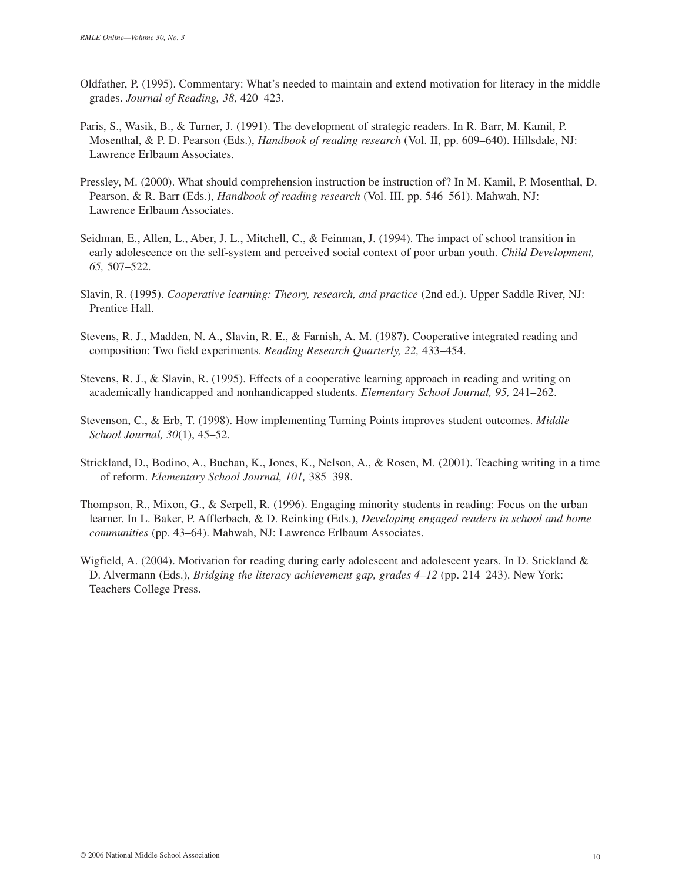- Oldfather, P. (1995). Commentary: What's needed to maintain and extend motivation for literacy in the middle grades. *Journal of Reading, 38,* 420–423.
- Paris, S., Wasik, B., & Turner, J. (1991). The development of strategic readers. In R. Barr, M. Kamil, P. Mosenthal, & P. D. Pearson (Eds.), *Handbook of reading research* (Vol. II, pp. 609–640). Hillsdale, NJ: Lawrence Erlbaum Associates.
- Pressley, M. (2000). What should comprehension instruction be instruction of? In M. Kamil, P. Mosenthal, D. Pearson, & R. Barr (Eds.), *Handbook of reading research* (Vol. III, pp. 546–561). Mahwah, NJ: Lawrence Erlbaum Associates.
- Seidman, E., Allen, L., Aber, J. L., Mitchell, C., & Feinman, J. (1994). The impact of school transition in early adolescence on the self-system and perceived social context of poor urban youth. *Child Development, 65,* 507–522.
- Slavin, R. (1995). *Cooperative learning: Theory, research, and practice* (2nd ed.). Upper Saddle River, NJ: Prentice Hall.
- Stevens, R. J., Madden, N. A., Slavin, R. E., & Farnish, A. M. (1987). Cooperative integrated reading and composition: Two field experiments. *Reading Research Quarterly, 22,* 433–454.
- Stevens, R. J., & Slavin, R. (1995). Effects of a cooperative learning approach in reading and writing on academically handicapped and nonhandicapped students. *Elementary School Journal, 95,* 241–262.
- Stevenson, C., & Erb, T. (1998). How implementing Turning Points improves student outcomes. *Middle School Journal, 30*(1), 45–52.
- Strickland, D., Bodino, A., Buchan, K., Jones, K., Nelson, A., & Rosen, M. (2001). Teaching writing in a time of reform. *Elementary School Journal, 101,* 385–398.
- Thompson, R., Mixon, G., & Serpell, R. (1996). Engaging minority students in reading: Focus on the urban learner. In L. Baker, P. Afflerbach, & D. Reinking (Eds.), *Developing engaged readers in school and home communities* (pp. 43–64). Mahwah, NJ: Lawrence Erlbaum Associates.
- Wigfield, A. (2004). Motivation for reading during early adolescent and adolescent years. In D. Stickland & D. Alvermann (Eds.), *Bridging the literacy achievement gap, grades 4–12* (pp. 214–243). New York: Teachers College Press.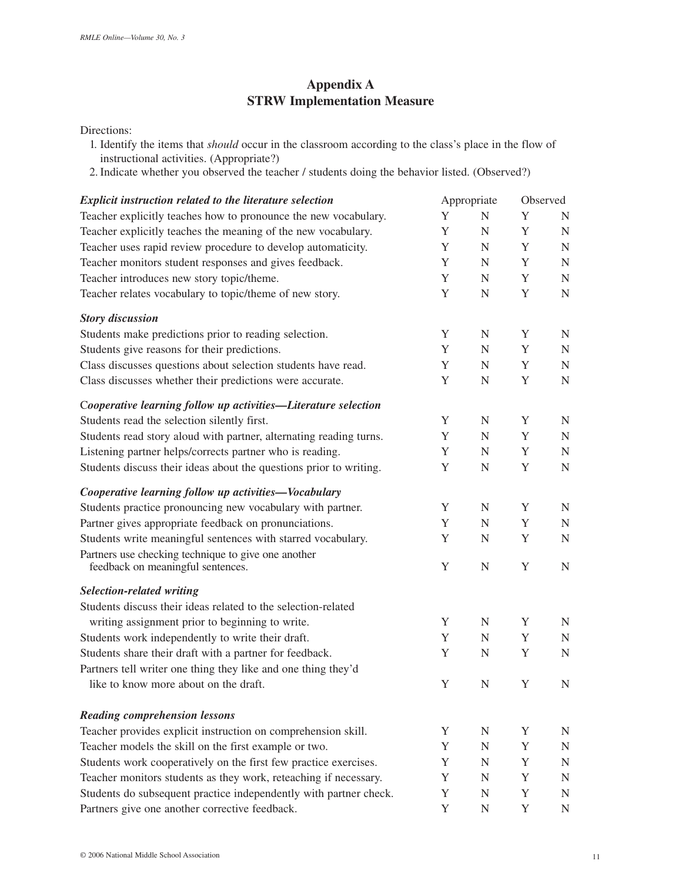# **Appendix A STRW Implementation Measure**

Directions:

- 1. Identify the items that *should* occur in the classroom according to the class's place in the flow of instructional activities. (Appropriate?)
- 2. Indicate whether you observed the teacher / students doing the behavior listed. (Observed?)

| <b>Explicit instruction related to the literature selection</b>                          | Appropriate |             |   | Observed    |  |
|------------------------------------------------------------------------------------------|-------------|-------------|---|-------------|--|
| Teacher explicitly teaches how to pronounce the new vocabulary.                          | Y           | N           | Y | N           |  |
| Teacher explicitly teaches the meaning of the new vocabulary.                            | Y           | $\mathbf N$ | Y | N           |  |
| Teacher uses rapid review procedure to develop automaticity.                             | Y           | N           | Y | ${\bf N}$   |  |
| Teacher monitors student responses and gives feedback.                                   | Y           | $\mathbf N$ | Y | $\mathbf N$ |  |
| Teacher introduces new story topic/theme.                                                | Y           | N           | Y | ${\bf N}$   |  |
| Teacher relates vocabulary to topic/theme of new story.                                  |             | $\mathbf N$ | Y | $\mathbf N$ |  |
| <b>Story discussion</b>                                                                  |             |             |   |             |  |
| Students make predictions prior to reading selection.                                    |             | $\mathbf N$ | Y | N           |  |
| Students give reasons for their predictions.                                             | Y           | N           | Y | $\mathbf N$ |  |
| Class discusses questions about selection students have read.                            | Y           | N           | Y | $\mathbf N$ |  |
| Class discusses whether their predictions were accurate.                                 | Y           | $\mathbf N$ | Y | ${\bf N}$   |  |
| Cooperative learning follow up activities-Literature selection                           |             |             |   |             |  |
| Students read the selection silently first.                                              | Y           | $\mathbf N$ | Y | ${\bf N}$   |  |
| Students read story aloud with partner, alternating reading turns.                       | $\mathbf Y$ | N           | Y | $\mathbf N$ |  |
| Listening partner helps/corrects partner who is reading.                                 | Y           | N           | Y | $\mathbf N$ |  |
| Students discuss their ideas about the questions prior to writing.                       | Y           | N           | Y | ${\bf N}$   |  |
| Cooperative learning follow up activities-Vocabulary                                     |             |             |   |             |  |
| Students practice pronouncing new vocabulary with partner.                               |             | $\mathbf N$ | Y | ${\bf N}$   |  |
| Partner gives appropriate feedback on pronunciations.                                    |             | N           | Y | N           |  |
| Students write meaningful sentences with starred vocabulary.                             | Y           | $\mathbf N$ | Y | ${\bf N}$   |  |
| Partners use checking technique to give one another<br>feedback on meaningful sentences. | Y           | $\mathbf N$ | Y | $\mathbf N$ |  |
| <b>Selection-related writing</b>                                                         |             |             |   |             |  |
| Students discuss their ideas related to the selection-related                            |             |             |   |             |  |
| writing assignment prior to beginning to write.                                          | Y           | $\mathbf N$ | Y | $\mathbf N$ |  |
| Students work independently to write their draft.                                        |             | N           | Y | ${\bf N}$   |  |
| Students share their draft with a partner for feedback.                                  | Y           | N           | Y | N           |  |
| Partners tell writer one thing they like and one thing they'd                            |             |             |   |             |  |
| like to know more about on the draft.                                                    | Y           | $\mathbf N$ | Y | $\mathbf N$ |  |
| <b>Reading comprehension lessons</b>                                                     |             |             |   |             |  |
| Teacher provides explicit instruction on comprehension skill.                            | Y           | $\mathbf N$ | Y | N           |  |
| Teacher models the skill on the first example or two.                                    | Y           | N           | Y | N           |  |
| Students work cooperatively on the first few practice exercises.                         | Y           | N           | Y | ${\bf N}$   |  |
| Teacher monitors students as they work, reteaching if necessary.                         | Y           | N           | Y | $\mathbf N$ |  |
| Students do subsequent practice independently with partner check.                        | Y           | N           | Y | N           |  |
| Partners give one another corrective feedback.                                           | $\mathbf Y$ | N           | Y | N           |  |